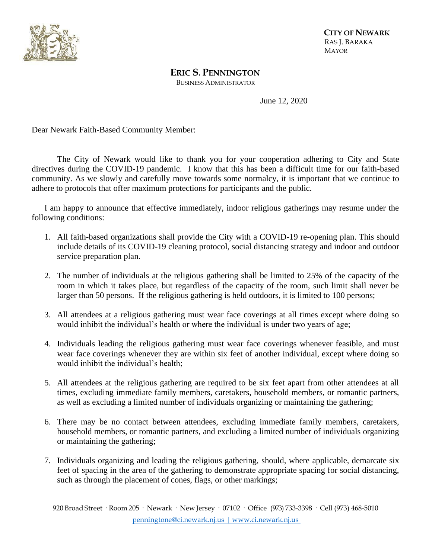

 **<sup>C</sup>ITY OF NEWARK** RAS J. BARAKA MAYOR

**ERIC S. PENNINGTON**

BUSINESS ADMINISTRATOR

June 12, 2020

Dear Newark Faith-Based Community Member:

The City of Newark would like to thank you for your cooperation adhering to City and State directives during the COVID-19 pandemic. I know that this has been a difficult time for our faith-based community. As we slowly and carefully move towards some normalcy, it is important that we continue to adhere to protocols that offer maximum protections for participants and the public.

I am happy to announce that effective immediately, indoor religious gatherings may resume under the following conditions:

- 1. All faith-based organizations shall provide the City with a COVID-19 re-opening plan. This should include details of its COVID-19 cleaning protocol, social distancing strategy and indoor and outdoor service preparation plan.
- 2. The number of individuals at the religious gathering shall be limited to 25% of the capacity of the room in which it takes place, but regardless of the capacity of the room, such limit shall never be larger than 50 persons. If the religious gathering is held outdoors, it is limited to 100 persons;
- 3. All attendees at a religious gathering must wear face coverings at all times except where doing so would inhibit the individual's health or where the individual is under two years of age;
- 4. Individuals leading the religious gathering must wear face coverings whenever feasible, and must wear face coverings whenever they are within six feet of another individual, except where doing so would inhibit the individual's health;
- 5. All attendees at the religious gathering are required to be six feet apart from other attendees at all times, excluding immediate family members, caretakers, household members, or romantic partners, as well as excluding a limited number of individuals organizing or maintaining the gathering;
- 6. There may be no contact between attendees, excluding immediate family members, caretakers, household members, or romantic partners, and excluding a limited number of individuals organizing or maintaining the gathering;
- 7. Individuals organizing and leading the religious gathering, should, where applicable, demarcate six feet of spacing in the area of the gathering to demonstrate appropriate spacing for social distancing, such as through the placement of cones, flags, or other markings;

920 Broad Street · Room 205 · Newark · New Jersey · 07102 · Office (973) 733-3398 · Cell (973) 468-5010 penningtone@ci.newark.nj.us | www.ci.newark.nj.us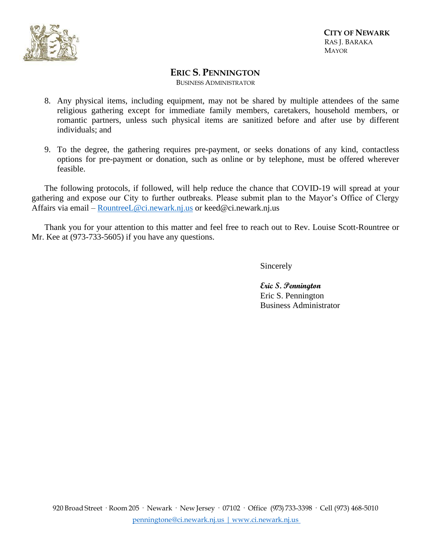

 **<sup>C</sup>ITY OF NEWARK** RAS J. BARAKA MAYOR

## **ERIC S. PENNINGTON**

BUSINESS ADMINISTRATOR

- 8. Any physical items, including equipment, may not be shared by multiple attendees of the same religious gathering except for immediate family members, caretakers, household members, or romantic partners, unless such physical items are sanitized before and after use by different individuals; and
- 9. To the degree, the gathering requires pre-payment, or seeks donations of any kind, contactless options for pre-payment or donation, such as online or by telephone, must be offered wherever feasible.

The following protocols, if followed, will help reduce the chance that COVID-19 will spread at your gathering and expose our City to further outbreaks. Please submit plan to the Mayor's Office of Clergy Affairs via email – [RountreeL@ci.newark.nj.us](mailto:RountreeL@ci.newark.nj.us) or keed@ci.newark.nj.us

Thank you for your attention to this matter and feel free to reach out to Rev. Louise Scott-Rountree or Mr. Kee at (973-733-5605) if you have any questions.

Sincerely

**Eric S. Pennington** Eric S. Pennington Business Administrator